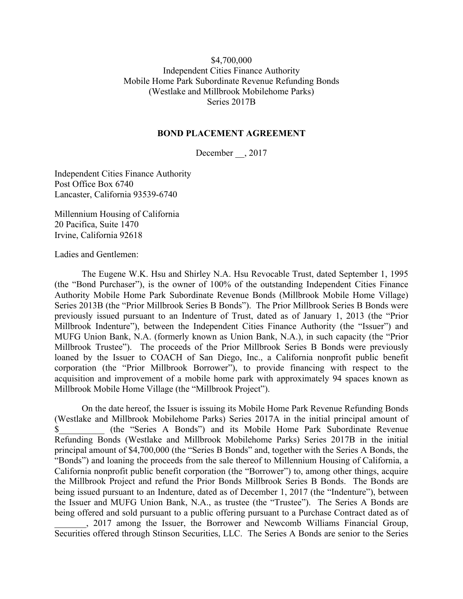## \$4,700,000 Independent Cities Finance Authority Mobile Home Park Subordinate Revenue Refunding Bonds (Westlake and Millbrook Mobilehome Parks) Series 2017B

## **BOND PLACEMENT AGREEMENT**

December \_\_, 2017

Independent Cities Finance Authority Post Office Box 6740 Lancaster, California 93539-6740

Millennium Housing of California 20 Pacifica, Suite 1470 Irvine, California 92618

Ladies and Gentlemen:

The Eugene W.K. Hsu and Shirley N.A. Hsu Revocable Trust, dated September 1, 1995 (the "Bond Purchaser"), is the owner of 100% of the outstanding Independent Cities Finance Authority Mobile Home Park Subordinate Revenue Bonds (Millbrook Mobile Home Village) Series 2013B (the "Prior Millbrook Series B Bonds"). The Prior Millbrook Series B Bonds were previously issued pursuant to an Indenture of Trust, dated as of January 1, 2013 (the "Prior Millbrook Indenture"), between the Independent Cities Finance Authority (the "Issuer") and MUFG Union Bank, N.A. (formerly known as Union Bank, N.A.), in such capacity (the "Prior Millbrook Trustee"). The proceeds of the Prior Millbrook Series B Bonds were previously loaned by the Issuer to COACH of San Diego, Inc., a California nonprofit public benefit corporation (the "Prior Millbrook Borrower"), to provide financing with respect to the acquisition and improvement of a mobile home park with approximately 94 spaces known as Millbrook Mobile Home Village (the "Millbrook Project").

On the date hereof, the Issuer is issuing its Mobile Home Park Revenue Refunding Bonds (Westlake and Millbrook Mobilehome Parks) Series 2017A in the initial principal amount of \$\_\_\_\_\_\_\_\_\_\_ (the "Series A Bonds") and its Mobile Home Park Subordinate Revenue Refunding Bonds (Westlake and Millbrook Mobilehome Parks) Series 2017B in the initial principal amount of \$4,700,000 (the "Series B Bonds" and, together with the Series A Bonds, the "Bonds") and loaning the proceeds from the sale thereof to Millennium Housing of California, a California nonprofit public benefit corporation (the "Borrower") to, among other things, acquire the Millbrook Project and refund the Prior Bonds Millbrook Series B Bonds. The Bonds are being issued pursuant to an Indenture, dated as of December 1, 2017 (the "Indenture"), between the Issuer and MUFG Union Bank, N.A., as trustee (the "Trustee"). The Series A Bonds are being offered and sold pursuant to a public offering pursuant to a Purchase Contract dated as of \_\_\_\_\_\_\_, 2017 among the Issuer, the Borrower and Newcomb Williams Financial Group,

Securities offered through Stinson Securities, LLC. The Series A Bonds are senior to the Series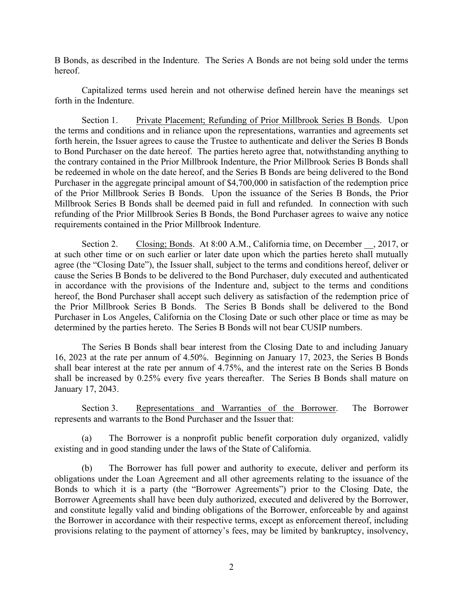B Bonds, as described in the Indenture. The Series A Bonds are not being sold under the terms hereof.

Capitalized terms used herein and not otherwise defined herein have the meanings set forth in the Indenture.

Section 1. Private Placement; Refunding of Prior Millbrook Series B Bonds. Upon the terms and conditions and in reliance upon the representations, warranties and agreements set forth herein, the Issuer agrees to cause the Trustee to authenticate and deliver the Series B Bonds to Bond Purchaser on the date hereof. The parties hereto agree that, notwithstanding anything to the contrary contained in the Prior Millbrook Indenture, the Prior Millbrook Series B Bonds shall be redeemed in whole on the date hereof, and the Series B Bonds are being delivered to the Bond Purchaser in the aggregate principal amount of \$4,700,000 in satisfaction of the redemption price of the Prior Millbrook Series B Bonds. Upon the issuance of the Series B Bonds, the Prior Millbrook Series B Bonds shall be deemed paid in full and refunded. In connection with such refunding of the Prior Millbrook Series B Bonds, the Bond Purchaser agrees to waive any notice requirements contained in the Prior Millbrook Indenture.

Section 2. Closing; Bonds. At 8:00 A.M., California time, on December , 2017, or at such other time or on such earlier or later date upon which the parties hereto shall mutually agree (the "Closing Date"), the Issuer shall, subject to the terms and conditions hereof, deliver or cause the Series B Bonds to be delivered to the Bond Purchaser, duly executed and authenticated in accordance with the provisions of the Indenture and, subject to the terms and conditions hereof, the Bond Purchaser shall accept such delivery as satisfaction of the redemption price of the Prior Millbrook Series B Bonds. The Series B Bonds shall be delivered to the Bond Purchaser in Los Angeles, California on the Closing Date or such other place or time as may be determined by the parties hereto. The Series B Bonds will not bear CUSIP numbers.

The Series B Bonds shall bear interest from the Closing Date to and including January 16, 2023 at the rate per annum of 4.50%. Beginning on January 17, 2023, the Series B Bonds shall bear interest at the rate per annum of 4.75%, and the interest rate on the Series B Bonds shall be increased by 0.25% every five years thereafter. The Series B Bonds shall mature on January 17, 2043.

Section 3. Representations and Warranties of the Borrower. The Borrower represents and warrants to the Bond Purchaser and the Issuer that:

(a) The Borrower is a nonprofit public benefit corporation duly organized, validly existing and in good standing under the laws of the State of California.

(b) The Borrower has full power and authority to execute, deliver and perform its obligations under the Loan Agreement and all other agreements relating to the issuance of the Bonds to which it is a party (the "Borrower Agreements") prior to the Closing Date, the Borrower Agreements shall have been duly authorized, executed and delivered by the Borrower, and constitute legally valid and binding obligations of the Borrower, enforceable by and against the Borrower in accordance with their respective terms, except as enforcement thereof, including provisions relating to the payment of attorney's fees, may be limited by bankruptcy, insolvency,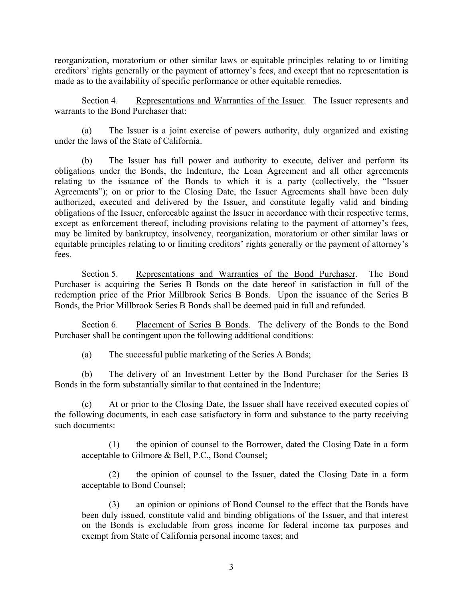reorganization, moratorium or other similar laws or equitable principles relating to or limiting creditors' rights generally or the payment of attorney's fees, and except that no representation is made as to the availability of specific performance or other equitable remedies.

Section 4. Representations and Warranties of the Issuer. The Issuer represents and warrants to the Bond Purchaser that:

(a) The Issuer is a joint exercise of powers authority, duly organized and existing under the laws of the State of California.

(b) The Issuer has full power and authority to execute, deliver and perform its obligations under the Bonds, the Indenture, the Loan Agreement and all other agreements relating to the issuance of the Bonds to which it is a party (collectively, the "Issuer Agreements"); on or prior to the Closing Date, the Issuer Agreements shall have been duly authorized, executed and delivered by the Issuer, and constitute legally valid and binding obligations of the Issuer, enforceable against the Issuer in accordance with their respective terms, except as enforcement thereof, including provisions relating to the payment of attorney's fees, may be limited by bankruptcy, insolvency, reorganization, moratorium or other similar laws or equitable principles relating to or limiting creditors' rights generally or the payment of attorney's fees.

Section 5. Representations and Warranties of the Bond Purchaser. The Bond Purchaser is acquiring the Series B Bonds on the date hereof in satisfaction in full of the redemption price of the Prior Millbrook Series B Bonds. Upon the issuance of the Series B Bonds, the Prior Millbrook Series B Bonds shall be deemed paid in full and refunded.

Section 6. Placement of Series B Bonds. The delivery of the Bonds to the Bond Purchaser shall be contingent upon the following additional conditions:

(a) The successful public marketing of the Series A Bonds;

(b) The delivery of an Investment Letter by the Bond Purchaser for the Series B Bonds in the form substantially similar to that contained in the Indenture;

(c) At or prior to the Closing Date, the Issuer shall have received executed copies of the following documents, in each case satisfactory in form and substance to the party receiving such documents:

the opinion of counsel to the Borrower, dated the Closing Date in a form acceptable to Gilmore & Bell, P.C., Bond Counsel;

(2) the opinion of counsel to the Issuer, dated the Closing Date in a form acceptable to Bond Counsel;

(3) an opinion or opinions of Bond Counsel to the effect that the Bonds have been duly issued, constitute valid and binding obligations of the Issuer, and that interest on the Bonds is excludable from gross income for federal income tax purposes and exempt from State of California personal income taxes; and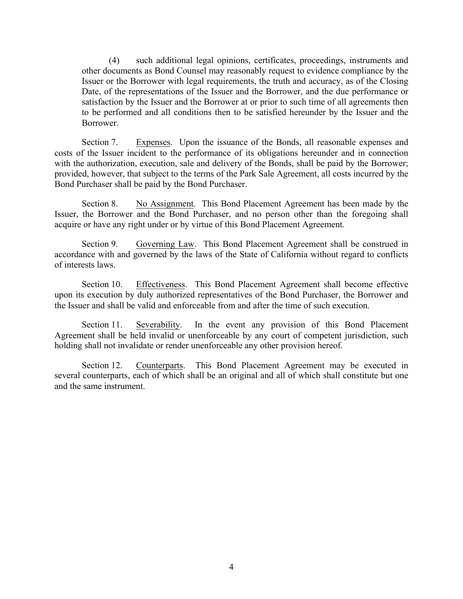(4) such additional legal opinions, certificates, proceedings, instruments and other documents as Bond Counsel may reasonably request to evidence compliance by the Issuer or the Borrower with legal requirements, the truth and accuracy, as of the Closing Date, of the representations of the Issuer and the Borrower, and the due performance or satisfaction by the Issuer and the Borrower at or prior to such time of all agreements then to be performed and all conditions then to be satisfied hereunder by the Issuer and the **Borrower** 

Section 7. Expenses. Upon the issuance of the Bonds, all reasonable expenses and costs of the Issuer incident to the performance of its obligations hereunder and in connection with the authorization, execution, sale and delivery of the Bonds, shall be paid by the Borrower; provided, however, that subject to the terms of the Park Sale Agreement, all costs incurred by the Bond Purchaser shall be paid by the Bond Purchaser.

Section 8. No Assignment. This Bond Placement Agreement has been made by the Issuer, the Borrower and the Bond Purchaser, and no person other than the foregoing shall acquire or have any right under or by virtue of this Bond Placement Agreement.

Section 9. Governing Law. This Bond Placement Agreement shall be construed in accordance with and governed by the laws of the State of California without regard to conflicts of interests laws.

Section 10. Effectiveness. This Bond Placement Agreement shall become effective upon its execution by duly authorized representatives of the Bond Purchaser, the Borrower and the Issuer and shall be valid and enforceable from and after the time of such execution.

Section 11. Severability. In the event any provision of this Bond Placement Agreement shall be held invalid or unenforceable by any court of competent jurisdiction, such holding shall not invalidate or render unenforceable any other provision hereof.

Section 12. Counterparts. This Bond Placement Agreement may be executed in several counterparts, each of which shall be an original and all of which shall constitute but one and the same instrument.